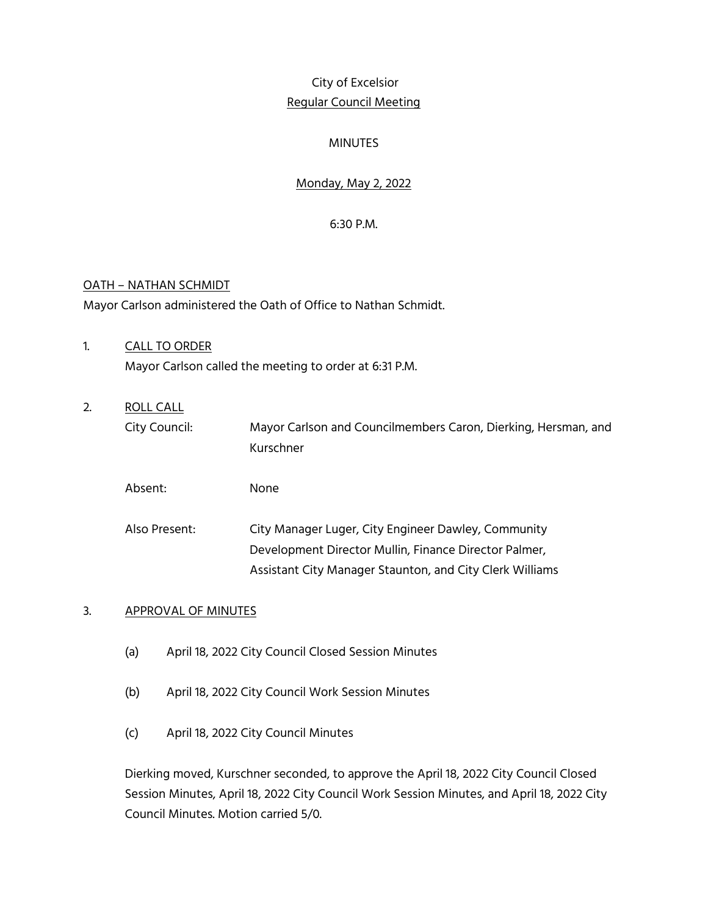# City of Excelsior Regular Council Meeting

## **MINUTES**

# Monday, May 2, 2022

6:30 P.M.

## OATH – NATHAN SCHMIDT

Mayor Carlson administered the Oath of Office to Nathan Schmidt.

- 1. CALL TO ORDER Mayor Carlson called the meeting to order at 6:31 P.M.
- 2. ROLL CALL

City Council: Mayor Carlson and Councilmembers Caron, Dierking, Hersman, and Kurschner

Absent: None

Also Present: City Manager Luger, City Engineer Dawley, Community Development Director Mullin, Finance Director Palmer, Assistant City Manager Staunton, and City Clerk Williams

## 3. APPROVAL OF MINUTES

- (a) April 18, 2022 City Council Closed Session Minutes
- (b) April 18, 2022 City Council Work Session Minutes
- (c) April 18, 2022 City Council Minutes

Dierking moved, Kurschner seconded, to approve the April 18, 2022 City Council Closed Session Minutes, April 18, 2022 City Council Work Session Minutes, and April 18, 2022 City Council Minutes. Motion carried 5/0.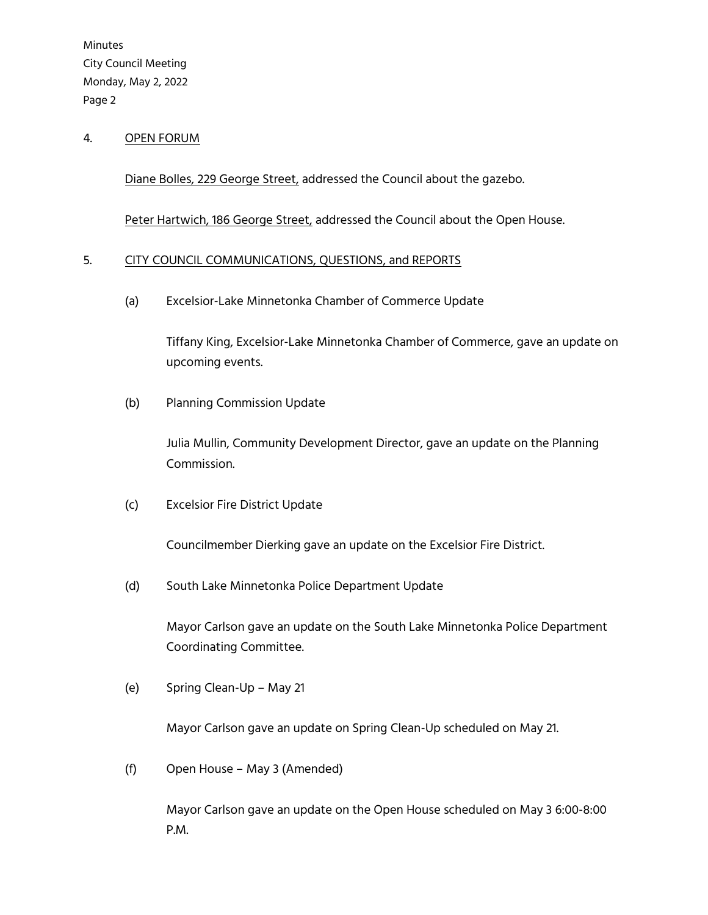#### 4. OPEN FORUM

Diane Bolles, 229 George Street, addressed the Council about the gazebo.

Peter Hartwich, 186 George Street, addressed the Council about the Open House.

#### 5. CITY COUNCIL COMMUNICATIONS, QUESTIONS, and REPORTS

(a) Excelsior-Lake Minnetonka Chamber of Commerce Update

Tiffany King, Excelsior-Lake Minnetonka Chamber of Commerce, gave an update on upcoming events.

(b) Planning Commission Update

Julia Mullin, Community Development Director, gave an update on the Planning Commission.

(c) Excelsior Fire District Update

Councilmember Dierking gave an update on the Excelsior Fire District.

(d) South Lake Minnetonka Police Department Update

Mayor Carlson gave an update on the South Lake Minnetonka Police Department Coordinating Committee.

(e) Spring Clean-Up – May 21

Mayor Carlson gave an update on Spring Clean-Up scheduled on May 21.

(f) Open House – May 3 (Amended)

Mayor Carlson gave an update on the Open House scheduled on May 3 6:00-8:00 P.M.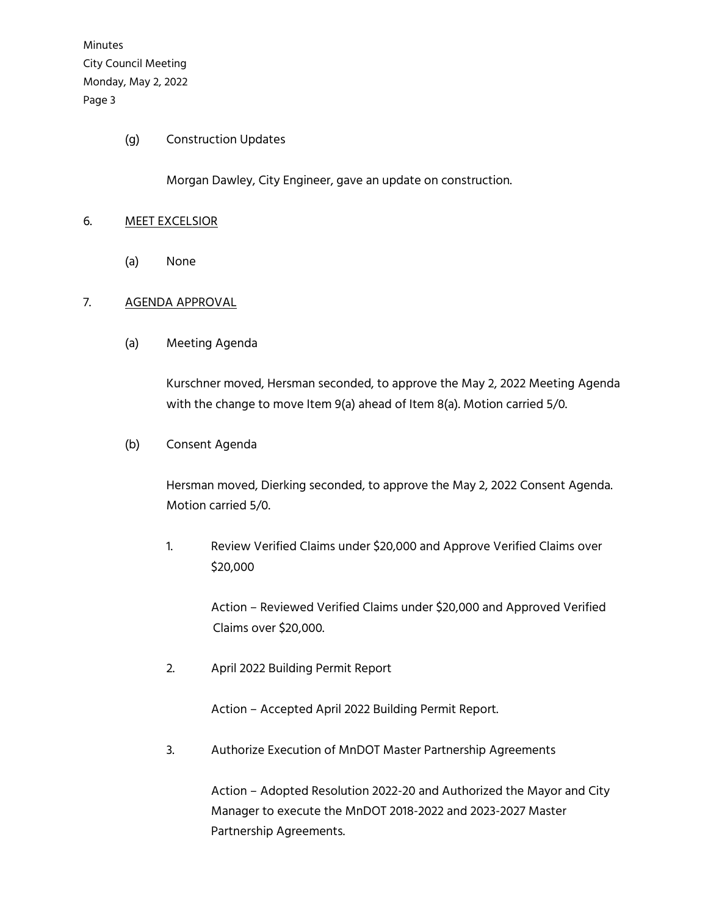#### (g) Construction Updates

Morgan Dawley, City Engineer, gave an update on construction.

#### 6. MEET EXCELSIOR

(a) None

#### 7. AGENDA APPROVAL

(a) Meeting Agenda

Kurschner moved, Hersman seconded, to approve the May 2, 2022 Meeting Agenda with the change to move Item 9(a) ahead of Item 8(a). Motion carried 5/0.

#### (b) Consent Agenda

Hersman moved, Dierking seconded, to approve the May 2, 2022 Consent Agenda. Motion carried 5/0.

1. Review Verified Claims under \$20,000 and Approve Verified Claims over \$20,000

> Action – Reviewed Verified Claims under \$20,000 and Approved Verified Claims over \$20,000.

2. April 2022 Building Permit Report

Action – Accepted April 2022 Building Permit Report.

3. Authorize Execution of MnDOT Master Partnership Agreements

Action – Adopted Resolution 2022-20 and Authorized the Mayor and City Manager to execute the MnDOT 2018-2022 and 2023-2027 Master Partnership Agreements.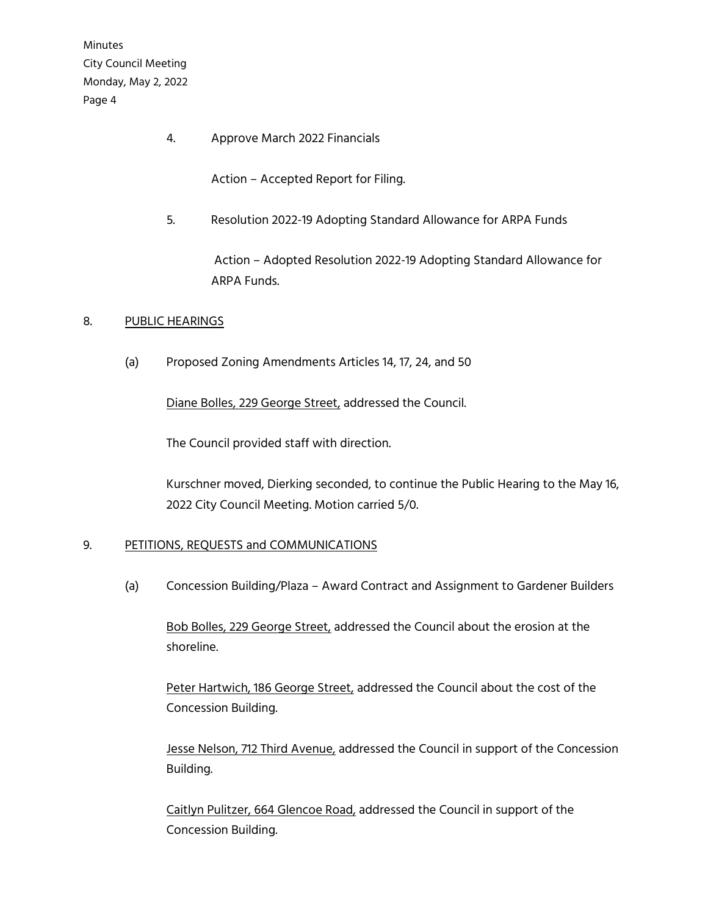4. Approve March 2022 Financials

Action – Accepted Report for Filing.

5. Resolution 2022-19 Adopting Standard Allowance for ARPA Funds

Action – Adopted Resolution 2022-19 Adopting Standard Allowance for ARPA Funds.

## 8. PUBLIC HEARINGS

(a) Proposed Zoning Amendments Articles 14, 17, 24, and 50

Diane Bolles, 229 George Street, addressed the Council.

The Council provided staff with direction.

Kurschner moved, Dierking seconded, to continue the Public Hearing to the May 16, 2022 City Council Meeting. Motion carried 5/0.

## 9. PETITIONS, REQUESTS and COMMUNICATIONS

(a) Concession Building/Plaza – Award Contract and Assignment to Gardener Builders

Bob Bolles, 229 George Street, addressed the Council about the erosion at the shoreline.

Peter Hartwich, 186 George Street, addressed the Council about the cost of the Concession Building.

Jesse Nelson, 712 Third Avenue, addressed the Council in support of the Concession Building.

Caitlyn Pulitzer, 664 Glencoe Road, addressed the Council in support of the Concession Building.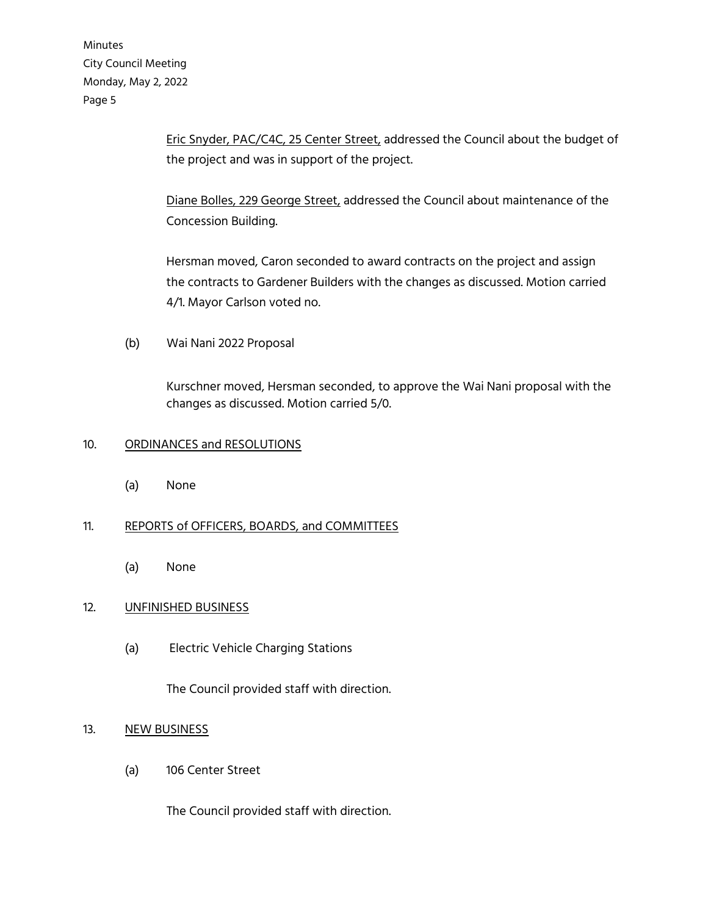> Eric Snyder, PAC/C4C, 25 Center Street, addressed the Council about the budget of the project and was in support of the project.

Diane Bolles, 229 George Street, addressed the Council about maintenance of the Concession Building.

Hersman moved, Caron seconded to award contracts on the project and assign the contracts to Gardener Builders with the changes as discussed. Motion carried 4/1. Mayor Carlson voted no.

(b) Wai Nani 2022 Proposal

Kurschner moved, Hersman seconded, to approve the Wai Nani proposal with the changes as discussed. Motion carried 5/0.

## 10. ORDINANCES and RESOLUTIONS

(a) None

## 11. REPORTS of OFFICERS, BOARDS, and COMMITTEES

(a) None

## 12. UNFINISHED BUSINESS

(a) Electric Vehicle Charging Stations

The Council provided staff with direction.

## 13. NEW BUSINESS

(a) 106 Center Street

The Council provided staff with direction.